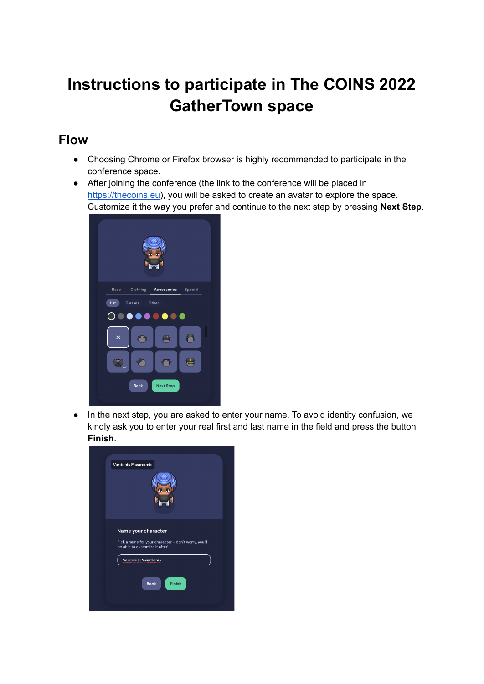## **Instructions to participate in The COINS 2022 GatherTown space**

## **Flow**

- Choosing Chrome or Firefox browser is highly recommended to participate in the conference space.
- After joining the conference (the link to the conference will be placed in <https://thecoins.eu>), you will be asked to create an avatar to explore the space. Customize it the way you prefer and continue to the next step by pressing **Next Step**.



● In the next step, you are asked to enter your name. To avoid identity confusion, we kindly ask you to enter your real first and last name in the field and press the button **Finish**.

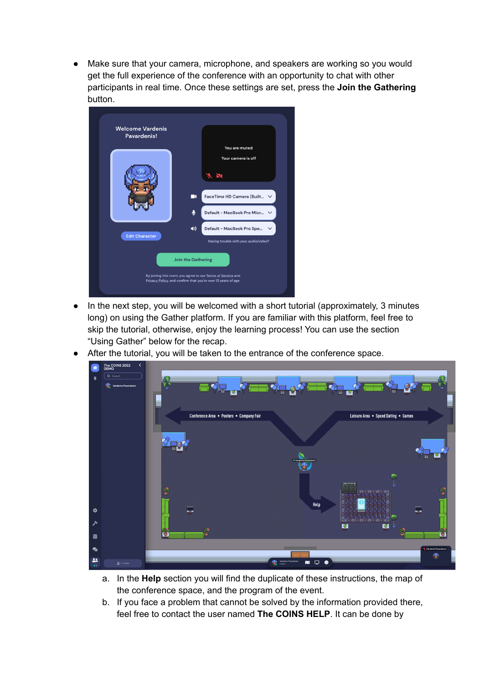● Make sure that your camera, microphone, and speakers are working so you would get the full experience of the conference with an opportunity to chat with other participants in real time. Once these settings are set, press the **Join the Gathering** button.



- In the next step, you will be welcomed with a short tutorial (approximately, 3 minutes long) on using the Gather platform. If you are familiar with this platform, feel free to skip the tutorial, otherwise, enjoy the learning process! You can use the section "Using Gather" below for the recap.
- After the tutorial, you will be taken to the entrance of the conference space.



- a. In the **Help** section you will find the duplicate of these instructions, the map of the conference space, and the program of the event.
- b. If you face a problem that cannot be solved by the information provided there, feel free to contact the user named **The COINS HELP**. It can be done by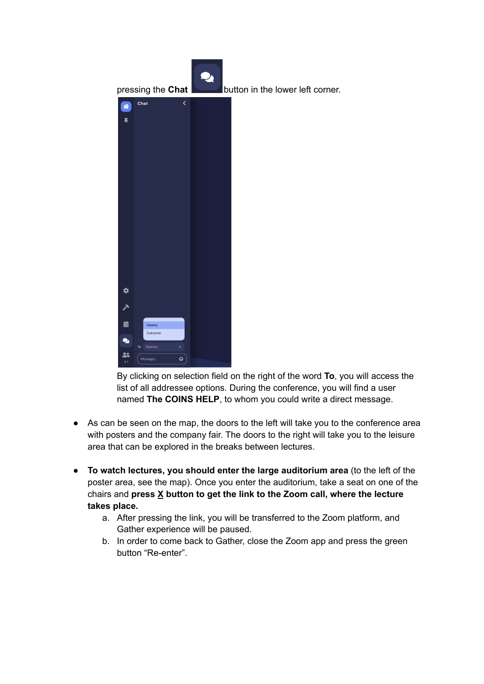

By clicking on selection field on the right of the word **To**, you will access the list of all addressee options. During the conference, you will find a user named **The COINS HELP**, to whom you could write a direct message.

- As can be seen on the map, the doors to the left will take you to the conference area with posters and the company fair. The doors to the right will take you to the leisure area that can be explored in the breaks between lectures.
- **To watch lectures, you should enter the large auditorium area** (to the left of the poster area, see the map). Once you enter the auditorium, take a seat on one of the chairs and **press X button to get the link to the Zoom call, where the lecture takes place.**
	- a. After pressing the link, you will be transferred to the Zoom platform, and Gather experience will be paused.
	- b. In order to come back to Gather, close the Zoom app and press the green button "Re-enter".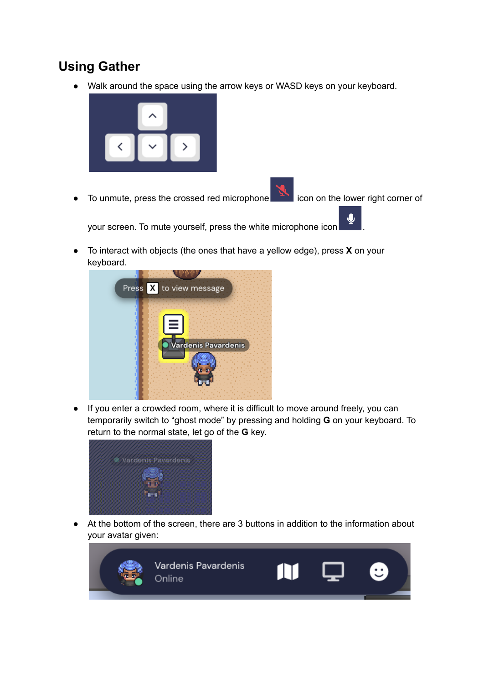## **Using Gather**

● Walk around the space using the arrow keys or WASD keys on your keyboard.



• To unmute, press the crossed red microphone in the lower right corner of

your screen. To mute yourself, press the white microphone icon .

● To interact with objects (the ones that have a yellow edge), press **X** on your keyboard.



● If you enter a crowded room, where it is difficult to move around freely, you can temporarily switch to "ghost mode" by pressing and holding **G** on your keyboard. To return to the normal state, let go of the **G** key.



● At the bottom of the screen, there are 3 buttons in addition to the information about your avatar given:

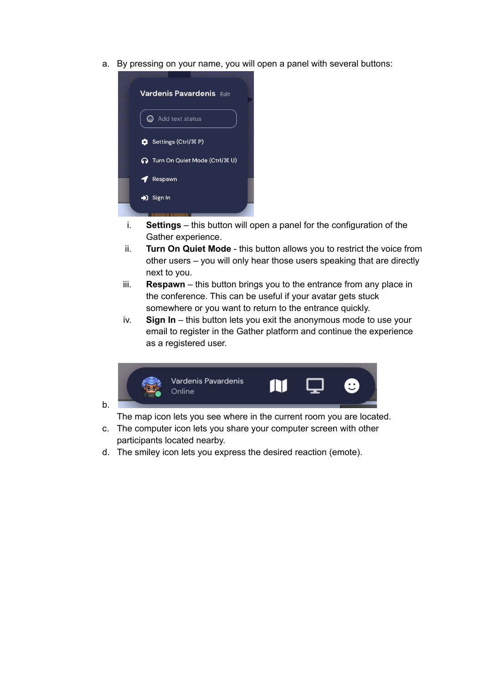a. By pressing on your name, you will open a panel with several buttons:



- i. **Settings** this button will open a panel for the configuration of the Gather experience.
- ii. **Turn On Quiet Mode** this button allows you to restrict the voice from other users – you will only hear those users speaking that are directly next to you.
- iii. **Respawn** this button brings you to the entrance from any place in the conference. This can be useful if your avatar gets stuck somewhere or you want to return to the entrance quickly.
- iv. **Sign In** this button lets you exit the anonymous mode to use your email to register in the Gather platform and continue the experience as a registered user.



b.

The map icon lets you see where in the current room you are located.

- c. The computer icon lets you share your computer screen with other participants located nearby.
- d. The smiley icon lets you express the desired reaction (emote).